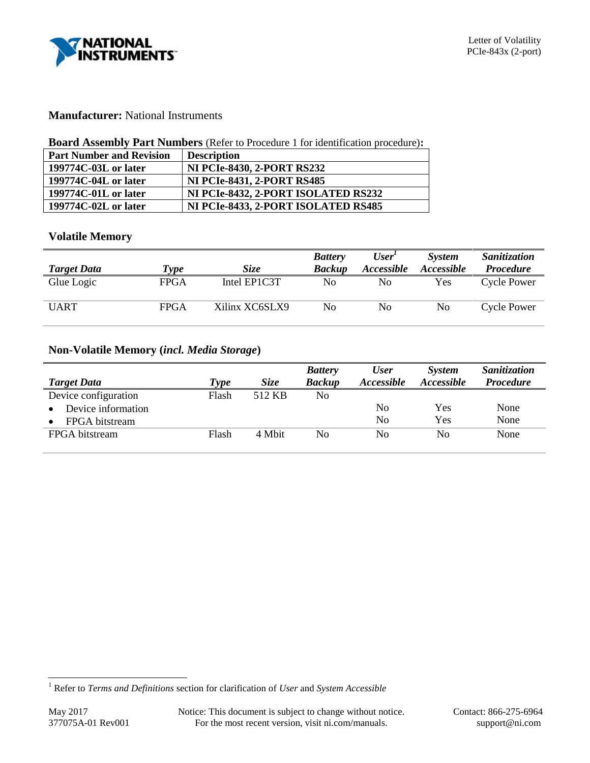

### **Manufacturer:** National Instruments

### **Board Assembly Part Numbers** (Refer to Procedure 1 for identification procedure)**:**

| <b>Part Number and Revision</b> | <b>Description</b>                  |
|---------------------------------|-------------------------------------|
| 199774C-03L or later            | <b>NI PCIe-8430, 2-PORT RS232</b>   |
| 199774C-04L or later            | <b>NI PCIe-8431, 2-PORT RS485</b>   |
| 199774C-01L or later            | NI PCIe-8432, 2-PORT ISOLATED RS232 |
| 199774C-02L or later            | NI PCIe-8433, 2-PORT ISOLATED RS485 |

### **Volatile Memory**

| <b>Target Data</b> | Type | Size           | <b>Battery</b><br><b>Backup</b> | User'<br>Accessible | <b>System</b><br><i><b>Accessible</b></i> | Sanitization<br><i>Procedure</i> |
|--------------------|------|----------------|---------------------------------|---------------------|-------------------------------------------|----------------------------------|
| Glue Logic         | FPGA | Intel EP1C3T   | No                              | No                  | Yes                                       | <b>Cycle Power</b>               |
| <b>UART</b>        | FPGA | Xilinx XC6SLX9 | No                              | No                  | No                                        | <b>Cycle Power</b>               |

# **Non-Volatile Memory (***incl. Media Storage***)**

|                      |                           |             | <b>Battery</b> | <b>User</b> | <b>System</b>     | Sanitization     |
|----------------------|---------------------------|-------------|----------------|-------------|-------------------|------------------|
| <b>Target Data</b>   | $\boldsymbol{\tau_{ype}}$ | <i>Size</i> | <b>Backup</b>  | Accessible  | <i>Accessible</i> | <b>Procedure</b> |
| Device configuration | Flash                     | 512 KB      | No             |             |                   |                  |
| Device information   |                           |             |                | No          | Yes               | None             |
| FPGA bitstream       |                           |             |                | No          | Yes               | None             |
| FPGA bitstream       | Flash                     | 4 Mbit      | No             | No          | No                | None             |

l

<sup>1</sup> Refer to *Terms and Definitions* section for clarification of *User* and *System Accessible*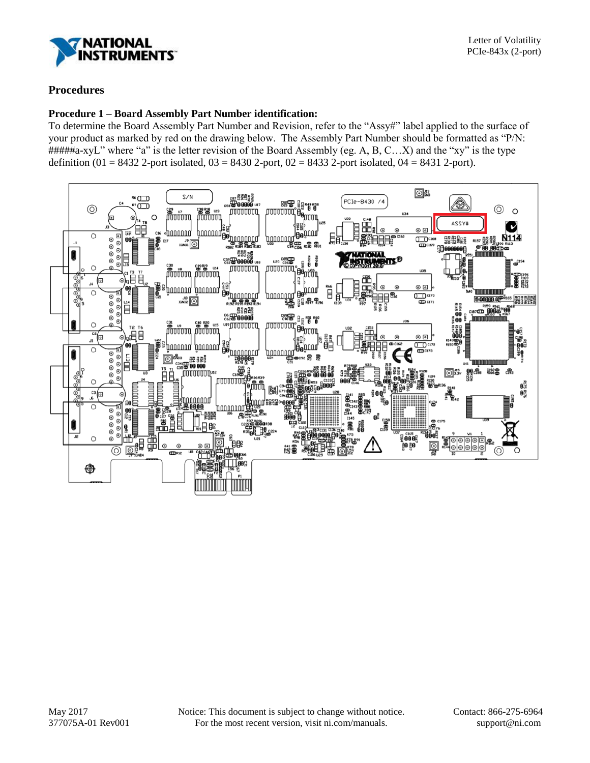

# **Procedures**

### **Procedure 1 – Board Assembly Part Number identification:**

To determine the Board Assembly Part Number and Revision, refer to the "Assy#" label applied to the surface of your product as marked by red on the drawing below. The Assembly Part Number should be formatted as "P/N: #####a-xyL" where "a" is the letter revision of the Board Assembly (eg. A, B, C…X) and the "xy" is the type definition (01 = 8432 2-port isolated,  $03 = 8430$  2-port,  $02 = 8433$  2-port isolated,  $04 = 8431$  2-port).